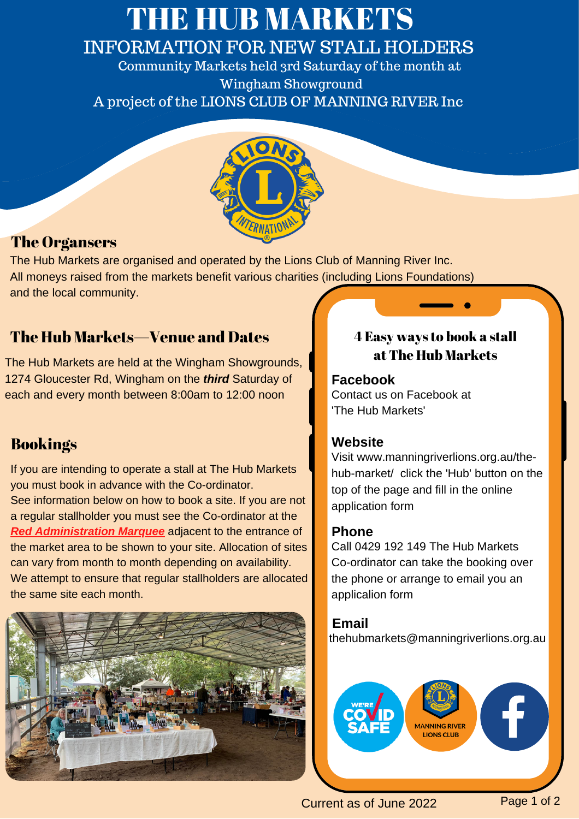## THE HUB MARKETS INFORMATION FOR NEW STALL HOLDERS

Community Markets held 3rd Saturday of the month at Wingham Showground A project of the LIONS CLUB OF MANNING RIVER Inc



## The Organsers

The Hub Markets are organised and operated by the Lions Club of Manning River Inc. All moneys raised from the markets benefit various charities (including Lions Foundations) and the local community.

## The Hub Markets—Venue and Dates

The Hub Markets are held at the Wingham Showgrounds, 1274 Gloucester Rd, Wingham on the *third* Saturday of each and every month between 8:00am to 12:00 noon

## Bookings

If you are intending to operate a stall at The Hub Markets you must book in advance with the Co-ordinator. See information below on how to book a site. If you are not a regular stallholder you must see the Co-ordinator at the *Red Administration Marquee* adjacent to the entrance of the market area to be shown to your site. Allocation of sites can vary from month to month depending on availability. We attempt to ensure that regular stallholders are allocated the same site each month.



### 4 Easy ways to book a stall at The Hub Markets

#### **Facebook** Contact us on Facebook at

'The Hub Markets'

#### **Website**

Visit www.manningriverlions.org.au/the hub-market/ click the 'Hub' button on the top of the page and fill in the online application form

#### **Phone**

Call 0429 192 149 The Hub Markets Co-ordinator can take the booking over the phone or arrange to email you an applicalion form

thehubmarkets@manningriverlions.org.au **Email**



Current as of June 2022 Page 1 of 2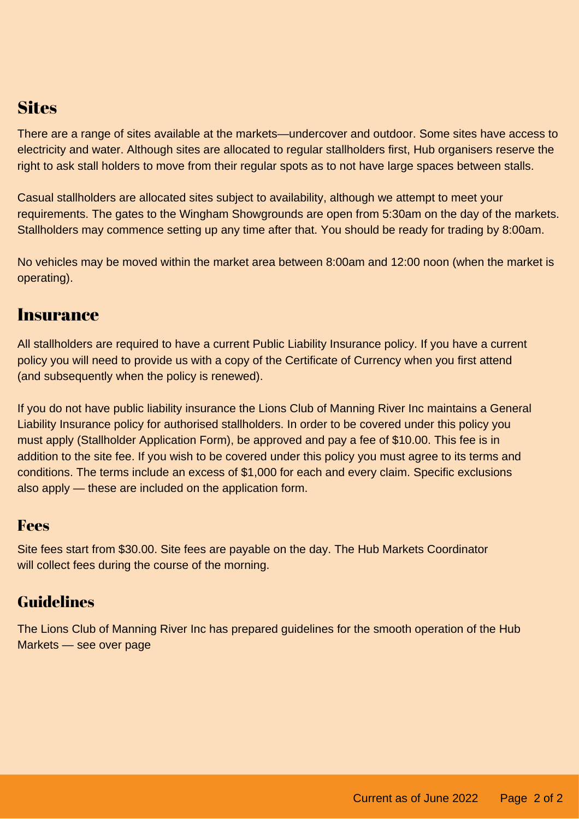## **Sites**

There are a range of sites available at the markets—undercover and outdoor. Some sites have access to electricity and water. Although sites are allocated to regular stallholders first, Hub organisers reserve the right to ask stall holders to move from their regular spots as to not have large spaces between stalls.

Casual stallholders are allocated sites subject to availability, although we attempt to meet your requirements. The gates to the Wingham Showgrounds are open from 5:30am on the day of the markets. Stallholders may commence setting up any time after that. You should be ready for trading by 8:00am.

No vehicles may be moved within the market area between 8:00am and 12:00 noon (when the market is operating).

#### Insurance

All stallholders are required to have a current Public Liability Insurance policy. If you have a current policy you will need to provide us with a copy of the Certificate of Currency when you first attend (and subsequently when the policy is renewed).

If you do not have public liability insurance the Lions Club of Manning River Inc maintains a General Liability Insurance policy for authorised stallholders. In order to be covered under this policy you must apply (Stallholder Application Form), be approved and pay a fee of \$10.00. This fee is in addition to the site fee. If you wish to be covered under this policy you must agree to its terms and conditions. The terms include an excess of \$1,000 for each and every claim. Specific exclusions also apply — these are included on the application form.

#### Fees

Site fees start from \$30.00. Site fees are payable on the day. The Hub Markets Coordinator will collect fees during the course of the morning.

## Guidelines

The Lions Club of Manning River Inc has prepared guidelines for the smooth operation of the Hub Markets — see over page